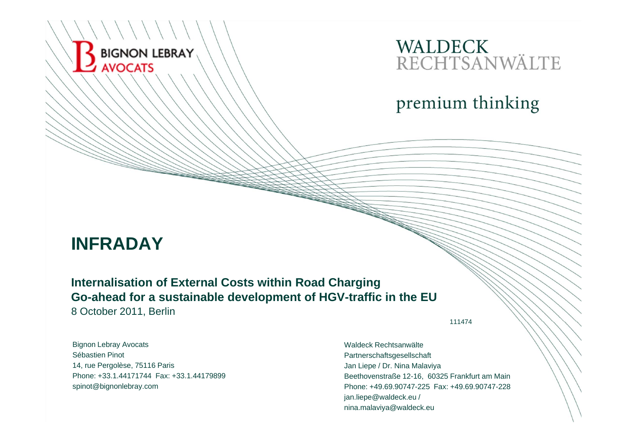# WALDECK<br>RECHTSANWÄLTE

premium thinking

### **INFRADAY**

BIGNON LEBRAY

**AVOCATS** 

#### **Internalisation of External Costs within Road Charging Go-ahead for a sustainable development of HGV-traffic in the EU**

8 October 2011, Berlin

111474

Bignon Lebray Avocats Sébastien Pinot14, rue Pergolèse, 75116 Paris Phone: +33.1.44171744 Fax: +33.1.44179899spinot@bignonlebray.com

Waldeck Rechtsanwälte Partnerschaftsgesellschaft Jan Liepe / Dr. Nina Malaviya Beethovenstraße 12-16, 60325 Frankfurt am Main Phone: +49.69.90747-225 Fax: +49.69.90747-228jan.liepe@waldeck.eu / nina.malaviya@waldeck.eu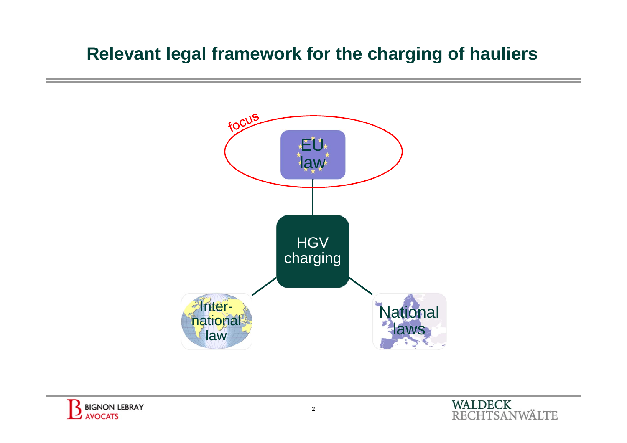### **Relevant legal framework for the charging of hauliers**



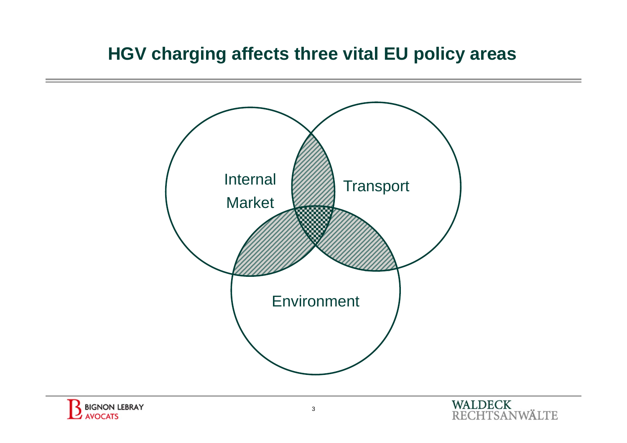### **HGV charging affects three vital EU policy areas**





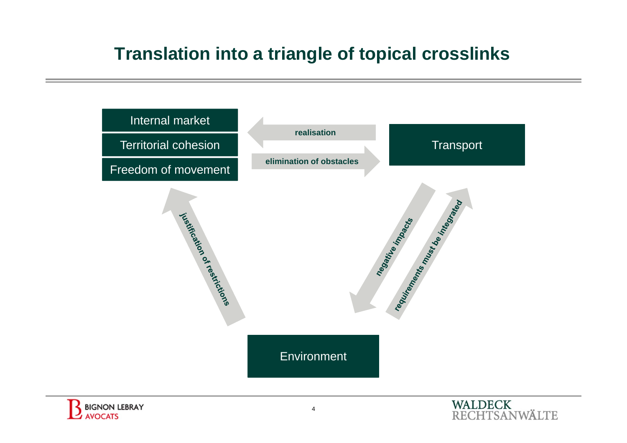### **Translation into a triangle of topical crosslinks**





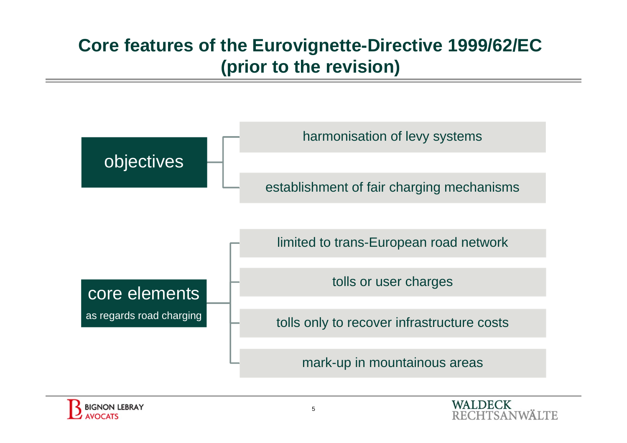# **Core features of the Eurovignette-Directive 1999/62/EC (prior to the revision)**





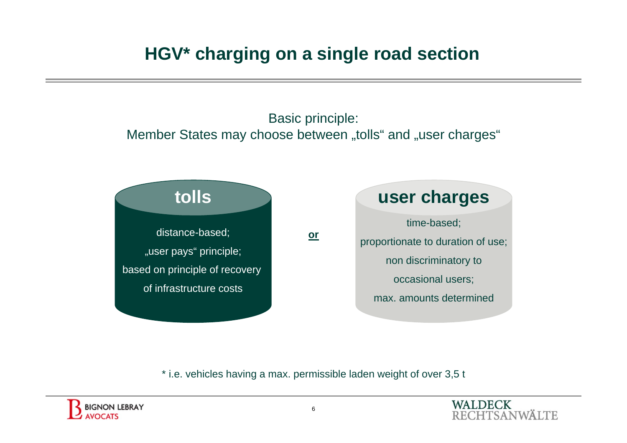# **HGV\* charging on a single road section**

Basic principle: Member States may choose between "tolls" and "user charges"



\* i.e. vehicles having a max. permissible laden weight of over 3,5 t

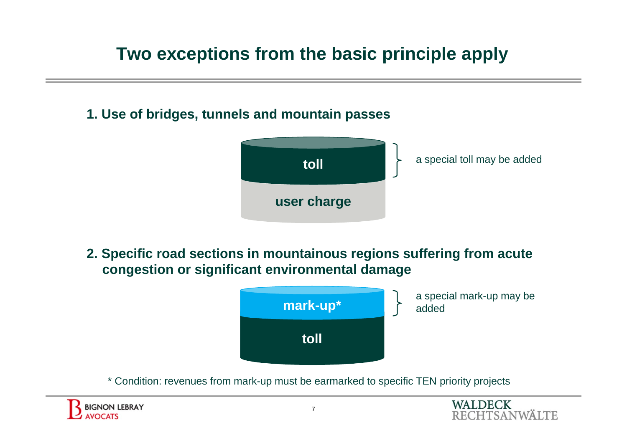# **Two exceptions from the basic principle apply**

**1. Use of bridges, tunnels and mountain passes**



**2. Specific road sections in mountainous regions suffering from acute congestion or significant environmental damage**



\* Condition: revenues from mark-up must be earmarked to specific TEN priority projects

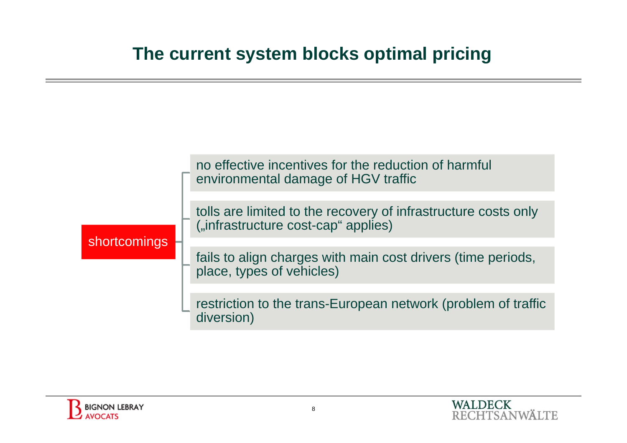### **The current system blocks optimal pricing**

| no effective incentives for the reduction of harmful<br>environmental damage of HGV traffic           |
|-------------------------------------------------------------------------------------------------------|
|                                                                                                       |
| tolls are limited to the recovery of infrastructure costs only<br>("infrastructure cost-cap" applies) |
|                                                                                                       |
| fails to align charges with main cost drivers (time periods, place, types of vehicles)                |
|                                                                                                       |
| restriction to the trans-European network (problem of traffic<br>diversion)                           |
|                                                                                                       |

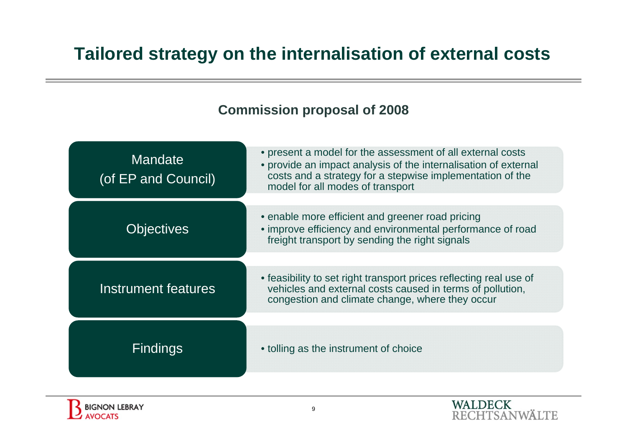### **Tailored strategy on the internalisation of external costs**



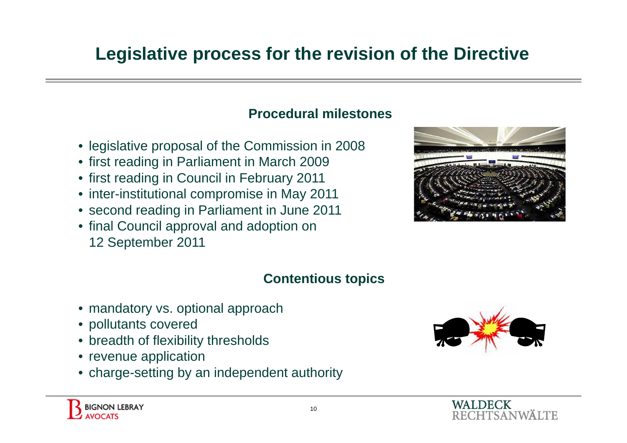# **Legislative process for the revision of the Directive**

#### **Procedural milestones**

- legislative proposal of the Commission in 2008
- first reading in Parliament in March 2009
- first reading in Council in February 2011
- inter-institutional compromise in May 2011
- second reading in Parliament in June 2011
- final Council approval and adoption on 12 September 2011



#### **Contentious topics**

- mandatory vs. optional approach
- pollutants covered
- breadth of flexibility thresholds
- revenue application
- charge-setting by an independent authority

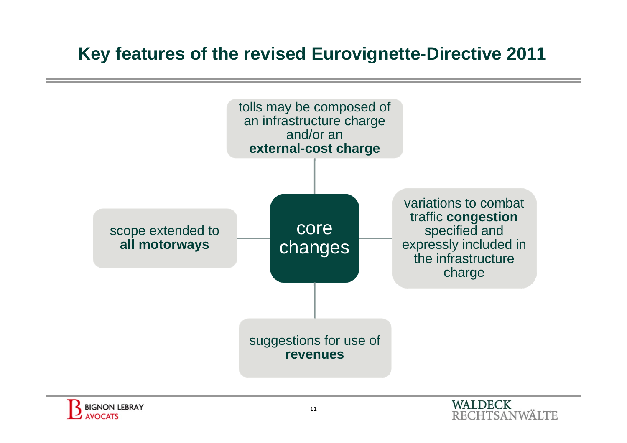### **Key features of the revised Eurovignette-Directive 2011**



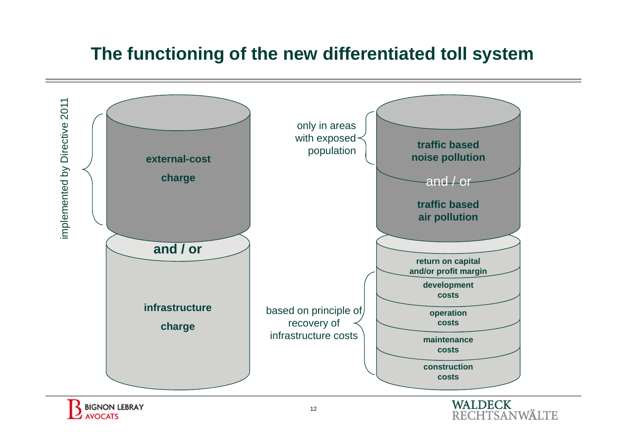### **The functioning of the new differentiated toll system**



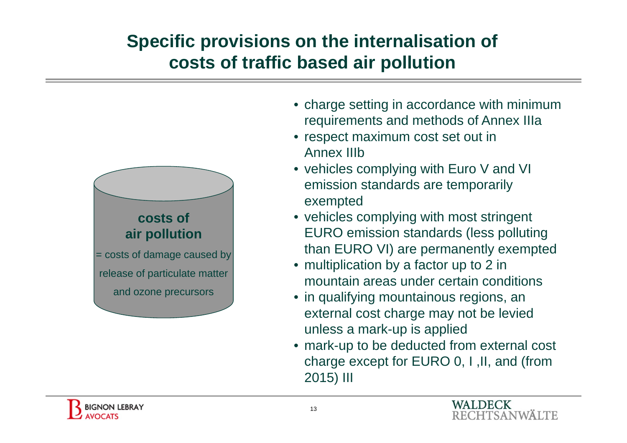# **Specific provisions on the internalisation of costs of traffic based air pollution**



- charge setting in accordance with minimum requirements and methods of Annex IIIa
- respect maximum cost set out in Annex IIIb
- vehicles complying with Euro V and VI emission standards are temporarily exempted
- vehicles complying with most stringent EURO emission standards (less polluting than EURO VI) are permanently exempted
- multiplication by a factor up to 2 in mountain areas under certain conditions
- in qualifying mountainous regions, an external cost charge may not be levied unless a mark-up is applied
- mark-up to be deducted from external cost charge except for EURO 0, I ,II, and (from 2015) III

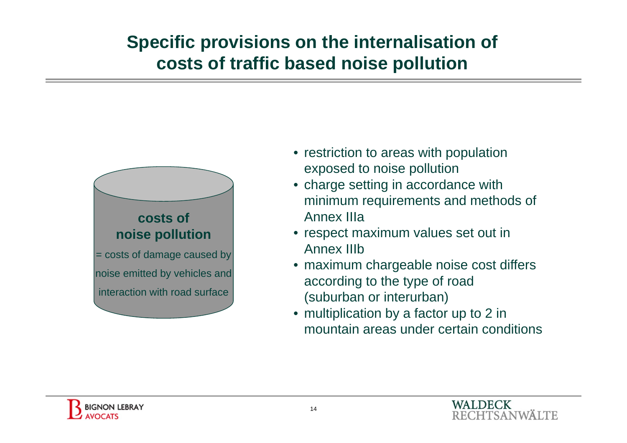# **Specific provisions on the internalisation of costs of traffic based noise pollution**



- restriction to areas with population exposed to noise pollution
- charge setting in accordance with minimum requirements and methods of Annex IIIa
- respect maximum values set out in Annex IIIb
- maximum chargeable noise cost differs according to the type of road (suburban or interurban)
- multiplication by a factor up to 2 in mountain areas under certain conditions

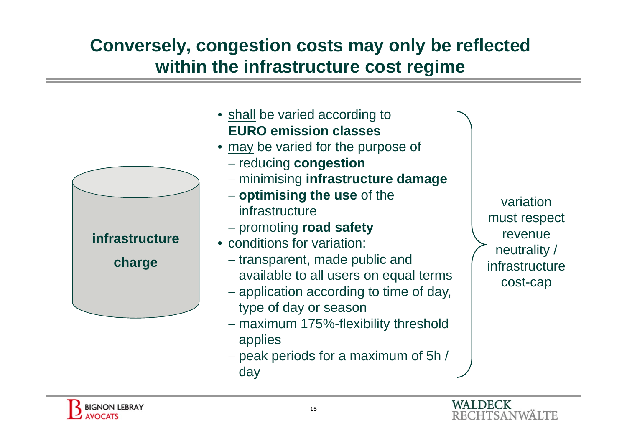# **Conversely, congestion costs may only be reflected within the infrastructure cost regime**

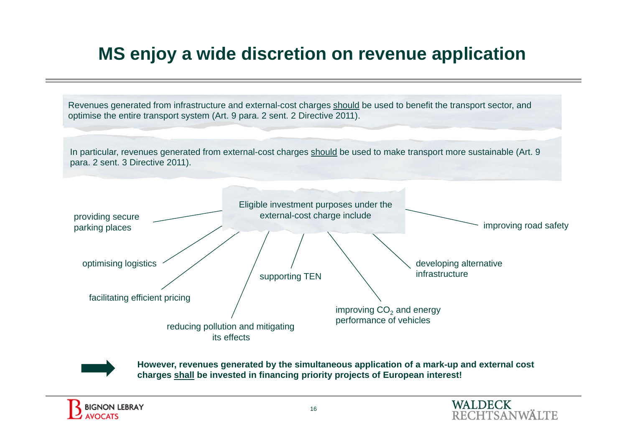# **MS enjoy a wide discretion on revenue application**

Revenues generated from infrastructure and external-cost charges should be used to benefit the transport sector, and optimise the entire transport system (Art. 9 para. 2 sent. 2 Directive 2011).

In particular, revenues generated from external-cost charges should be used to make transport more sustainable (Art. 9 para. 2 sent. 3 Directive 2011).





**However, revenues generated by the simultaneous application of a mark-up and external cost charges shall be invested in financing priority projects of European interest!**

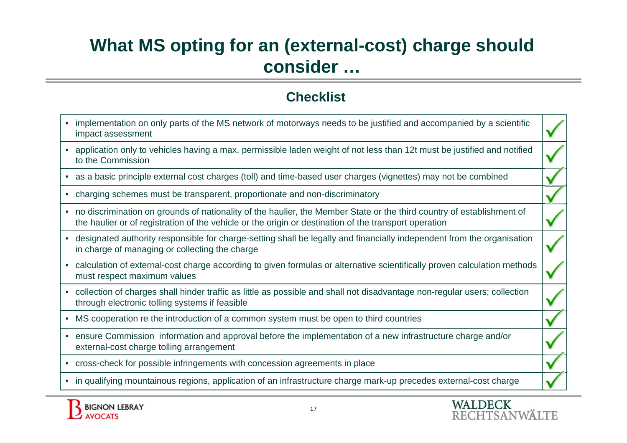## **What MS opting for an (external-cost) charge should consider …**

#### **Checklist**

- implementation on only parts of the MS network of motorways needs to be justified and accompanied by a scientific impact assessment
- application only to vehicles having a max. permissible laden weight of not less than 12t must be justified and notified to the Commission
- as a basic principle external cost charges (toll) and time-based user charges (vignettes) may not be combined
- charging schemes must be transparent, proportionate and non-discriminatory
- no discrimination on grounds of nationality of the haulier, the Member State or the third country of establishment of the haulier or of registration of the vehicle or the origin or destination of the transport operation
- designated authority responsible for charge-setting shall be legally and financially independent from the organisation in charge of managing or collecting the charge
- calculation of external-cost charge according to given formulas or alternative scientifically proven calculation methods must respect maximum values
- collection of charges shall hinder traffic as little as possible and shall not disadvantage non-regular users; collection through electronic tolling systems if feasible
- MS cooperation re the introduction of a common system must be open to third countries
- ensure Commission information and approval before the implementation of a new infrastructure charge and/or external-cost charge tolling arrangement
- cross-check for possible infringements with concession agreements in place
- in qualifying mountainous regions, application of an infrastructure charge mark-up precedes external-cost charge